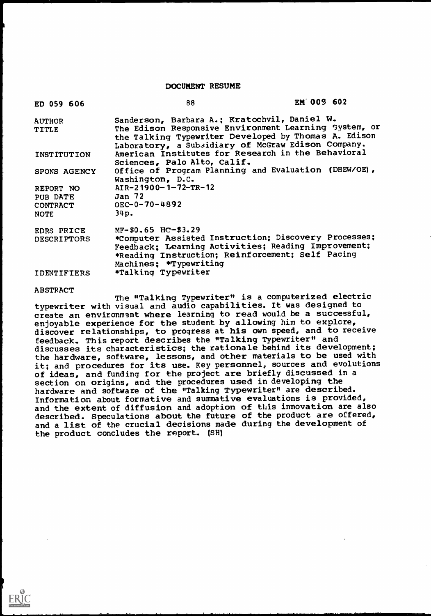#### DOCUMENT RESUME

| ED 059 606                                             | 88                                                                                                                                                                                                               | EM 009 602 |  |
|--------------------------------------------------------|------------------------------------------------------------------------------------------------------------------------------------------------------------------------------------------------------------------|------------|--|
| <b>AUTHOR</b>                                          | Sanderson, Barbara A.; Kratochvil, Daniel W.                                                                                                                                                                     |            |  |
| TITLE                                                  | The Edison Responsive Environment Learning System, or                                                                                                                                                            |            |  |
|                                                        | the Talking Typewriter Developed by Thomas A. Edison<br>Laboratory, a Subsidiary of McGraw Edison Company.                                                                                                       |            |  |
| INSTITUTION                                            | American Institutes for Research in the Behavioral                                                                                                                                                               |            |  |
|                                                        | Sciences, Palo Alto, Calif.                                                                                                                                                                                      |            |  |
| SPONS AGENCY                                           | Office of Program Planning and Evaluation (DHEW/OE),                                                                                                                                                             |            |  |
|                                                        | Washington, D.C.                                                                                                                                                                                                 |            |  |
| REPORT NO                                              | $AIR-21900-1-72-TR-12$                                                                                                                                                                                           |            |  |
| PUB DATE                                               | Jan 72                                                                                                                                                                                                           |            |  |
| CONTRACT                                               | $OEC-0-70-4892$                                                                                                                                                                                                  |            |  |
| <b>NOTE</b>                                            | 34p.                                                                                                                                                                                                             |            |  |
|                                                        | $MF-50.65$ HC-\$3.29                                                                                                                                                                                             |            |  |
|                                                        |                                                                                                                                                                                                                  |            |  |
|                                                        |                                                                                                                                                                                                                  |            |  |
|                                                        |                                                                                                                                                                                                                  |            |  |
|                                                        |                                                                                                                                                                                                                  |            |  |
|                                                        |                                                                                                                                                                                                                  |            |  |
| EDRS PRICE<br><b>DESCRIPTORS</b><br><b>IDENTIFIERS</b> | *Computer Assisted Instruction; Discovery Processes;<br>Feedback; Learning Activities; Reading Improvement;<br>*Reading Instruction; Reinforcement; Self Pacing<br>Machines; *Typewriting<br>*Talking Typewriter |            |  |

#### ABSTRACT

The "Talking Typewriter" is a computerized electric typewriter with visual and audio capabilities. It was designed to create an environment where learning to read would be a successful, enjoyable experience for the student by allowing him to explore, discover relationships, to progress at his own speed, and to receive feedback. This report describes the "Talking Typewriter" and discusses its characteristics; the rationale behind its development; the hardware, software, lessons, and other materials to be used with it; and procedures for its use. Key personnel, sources and evolutions of ideas, and funding for the project are briefly discussed in a section on origins, and the procedures used in developing the hardware and software of the "Talking Typewriter" are described. Information about formative and summative evaluations is provided, and the extent of diffusion and adoption of this innovation are also described. Speculations about the future of the product are offered, and a list of the crucial decisions made during the development of the product concludes the report. (SH)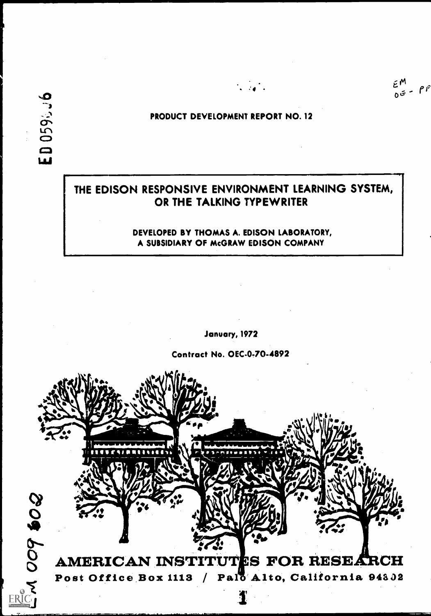$\tilde{\epsilon}^{\,M}$  $E_{\sigma}^{m}$ <br> $E_{\sigma}^{m}$ 

 $11$ 

# PRODUCT DEVELOPMENT REPORT NO. 12

 $\mathbf{r} = \mathbf{r} \cdot \mathbf{r}$ 

# THE EDISON RESPONSIVE ENVIRONMENT LEARNING SYSTEM, OR THE TALKING TYPEWRITER

# DEVELOPED BY THOMAS A. EDISON LABORATORY, A SUBSIDIARY OF McGRAW EDISON COMPANY

January, 1972

Contract No. OEC-0-70.4892

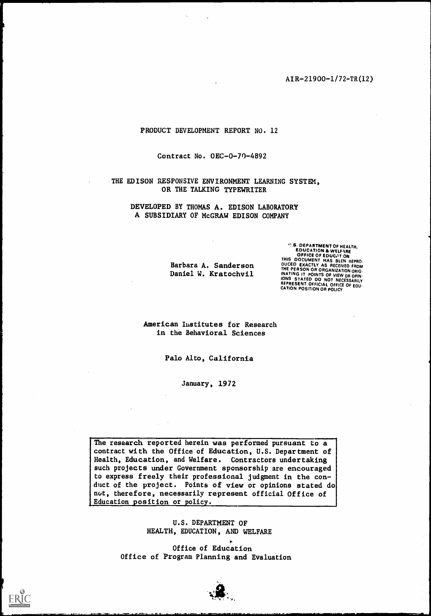AIR-21900-1/72-TR(12)

#### PRODUCT DEVELOPMENT REPORT NO. 12

Contract No. OEC-0-70-4892

THE EDISON RESPONSIVE ENVIRONMENT LEARNING SYSTEM. OR THE TALKING TYPEWRITER

DEVELOPED BY THOMAS A. EDISON LABORATORY A SUBSIDIARY OF McGRAW EDISON COMPANY

> Barbara A. Sanderson Daniel W. Kratochvil

.!.S. DEPARTMENT OF HEALTH, EDUCATION & WELFARE<br>OFFICE OF EDUCATION<br>THIS DOCUMENT HAS BEEN REPRO. OUCED EXACTLY AS RECEIVED FROM<br>THE PERSON OR ORGANIZATION ORIG.<br>INATING IT POINTS OF VIEW OR OPIN.<br>IONS STATED DO NOT NECESSARILY REPRESENT OFFICIAL OFFICE OF EOU:<br>CATION POSITION OR POLICY.

American Iustitutes for Research in the Behavioral Sciences

Palo Alto, California

January, 1972

The research reported herein was performed pursuant to a contract with the Office of Education, U.S. Department of Health, Education, and Welfare. Contractors undertaking such projects under Government sponsorship are encouraged to express freely their professional judgment in the conduct of the project. Points of view or opinions stated do not, therefore, necessarily represent official Office of Education position or policy.

> U.S. DEPARTMENT OF HEALTH, EDUCATION, AND WELFARE

Office of Education Office of Program Planning and Evaluation



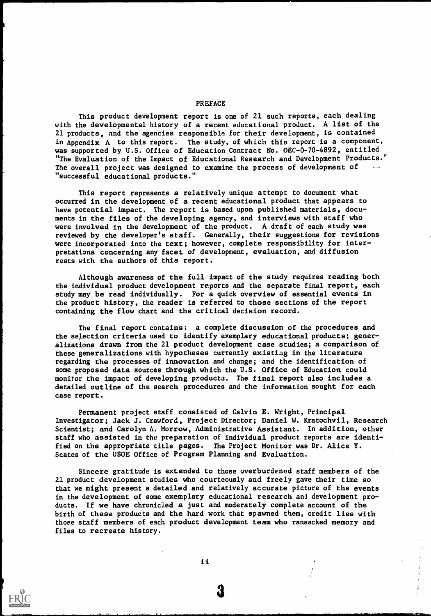#### This product development report is one of 21 such reports, each dealing with the developmental history of a recent educational product. A list of the 21 products, and the agencies responsible for their development, is contained in Appendix A to this report. The study, of which this report is a component, was supported by U.S. Office of Education Contract No. OEC-0-70-4892, entitled "The Evaluation of the Impact of Educational Research and Development Products." The overall project was designed to examine the process of development of "successful educational products."

This report represents a relatively unique attempt to document what occurred in the development of a recent educational product that appears to have potential impact. The report is based upon published materials, documents in the files of the developing agency, and interviews with staff who were involved in the development of the product. A draft of each study was reviewed by the developer's staff. Generally, their suggestions for revisions were incorporated into the text; however, complete responsibility for interpretations concerning any facet of development, evaluation, and diffusion rests with the authors of this report.

Although awareness of the full impact of the study requires reading both the individual product development reports and the separate final report, each study may be read individually. For a quick overview of essential events in the product history, the reader is referred to those sections of the report containing the flow chart and the critical decision record.

The final report contains: a complete discussion of the procedures and the selection criteria used to identify exemplary educational products; generalizations drawn from the 21 product development case studies; a comparison of these generalizations with hypotheses currently existiag in the literature regarding the processes of innovation and change; and the identification of some proposed data sources through which the U.S. Office of Education could monitor the impact of developing products. The final report also includes a detailed outline of the search procedures and the information sought for each case report.

Permanent project staff consisted of Calvin E. Wright, Principal Investigator; Jack J. Crawford, Project Director; Daniel W. Kratochvil, Research Scientist; and Carolyn A. Morrow, Administrative Assistant. In addition, other staff who assisted in the preparation of individual product reports are identified on the appropriate title pages. The Project Monitor was Dr. Alice Y. Scates of the USOE Office of Program Planning and Evaluation.

Sincere gratitude is extended to those overburdened staff members of the 21 product development studies who courteously and freely gave their time so that we might present a detailed and relatively accurate picture of the events in the development of some exemplary educational research ani development products. If we have chronicled a just and moderately complete account of the birth of these products and the hard work that spawned them, credit lies with those staff members of each product development team who ransacked memory and files to recreate history.

#### PREFACE

ii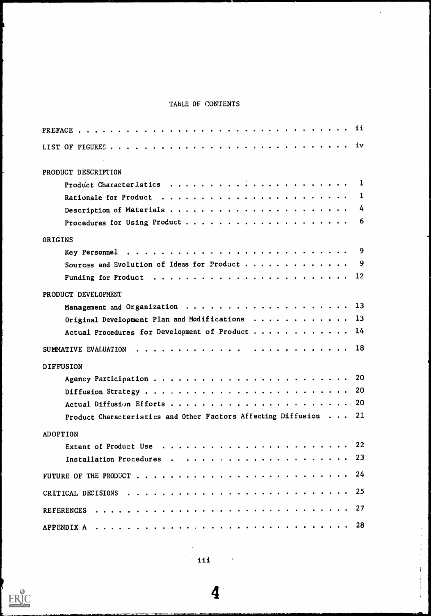# TABLE OF CONTENTS

| $\mathbf{q}_1$ , $\mathbf{q}_2$ , $\mathbf{q}_3$<br>PRODUCT DESCRIPTION |     |  |  |  |  |
|-------------------------------------------------------------------------|-----|--|--|--|--|
|                                                                         |     |  |  |  |  |
|                                                                         |     |  |  |  |  |
|                                                                         |     |  |  |  |  |
| Procedures for Using Product                                            | 6   |  |  |  |  |
|                                                                         |     |  |  |  |  |
| ORIGINS                                                                 |     |  |  |  |  |
|                                                                         |     |  |  |  |  |
|                                                                         |     |  |  |  |  |
|                                                                         |     |  |  |  |  |
| PRODUCT DEVELOPMENT                                                     |     |  |  |  |  |
|                                                                         |     |  |  |  |  |
| Original Development Plan and Modifications $\cdots$ 13                 |     |  |  |  |  |
| Actual Procedures for Development of Product $\cdots$ ,   14            |     |  |  |  |  |
| SUMMATIVE EVALUATION                                                    |     |  |  |  |  |
|                                                                         |     |  |  |  |  |
| <b>DIFFUSION</b>                                                        |     |  |  |  |  |
|                                                                         |     |  |  |  |  |
|                                                                         |     |  |  |  |  |
|                                                                         | 20. |  |  |  |  |
| Product Characteristics and Other Factors Affecting Diffusion 21        |     |  |  |  |  |
| <b>ADOPTION</b>                                                         |     |  |  |  |  |
|                                                                         |     |  |  |  |  |
|                                                                         |     |  |  |  |  |
|                                                                         |     |  |  |  |  |
|                                                                         |     |  |  |  |  |
|                                                                         |     |  |  |  |  |
|                                                                         |     |  |  |  |  |
|                                                                         |     |  |  |  |  |

4

 $\overline{\mathfrak{f}}$ j

 $\ddot{\phantom{1}}$ 

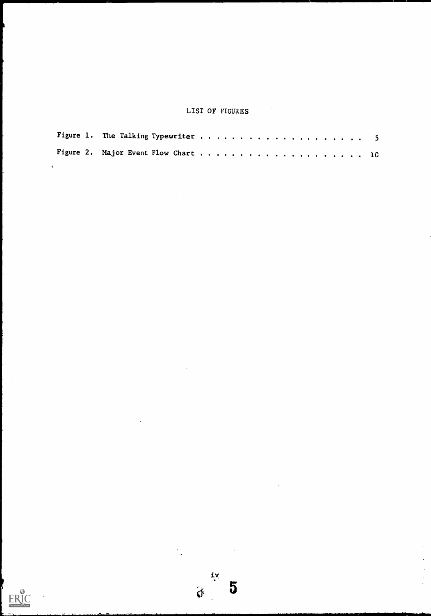# LIST OF FIGURES

 $\sum_{i=1}^n \frac{1}{\left\| \sum_{i=1}^n \frac{1}{\left\| \sum_{i=1}^n \frac{1}{\left\| \sum_{i=1}^n \frac{1}{\left\| \sum_{i=1}^n \frac{1}{\left\| \sum_{i=1}^n \frac{1}{\left\| \sum_{i=1}^n \frac{1}{\left\| \sum_{i=1}^n \frac{1}{\left\| \sum_{i=1}^n \frac{1}{\left\| \sum_{i=1}^n \frac{1}{\left\| \sum_{i=1}^n \frac{1}{\left\| \sum_{i=1}^n \frac{1}{\left\| \sum_{i$ 

 $\begin{array}{c}\n\mathbf{1}\mathbf{v} \\
\mathbf{v}\n\end{array}$ 

 $\ddot{\phantom{0}}$ 

 $\overline{5}$ 

 $\hat{\boldsymbol{\cdot}$  $\frac{1}{2}$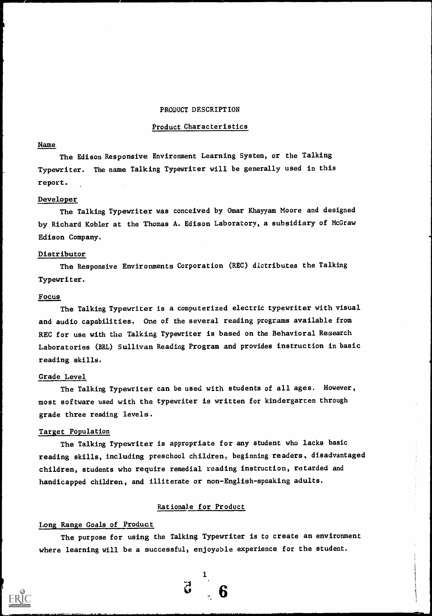#### PRODUCT DESCRIPTION

#### Product Characteristics

#### Name

The Edison Responsive Environment Learning System, or the Talking Typewriter. The name Talking Typewriter will be generally used in this report.

#### Developer

The Talking Typewriter was conceived by Omar Khayyam Moore and designed by Richard Kobler at the Thomas A. Edison Laboratory, a subsidiary of McGraw Edison Company.

#### Distributor

The Responsive Environments Corporation (REC) dlctributes the Talking Typewriter.

#### Focus

The Talking Typewriter is a computerized electric typewriter with visual and audio capabilities. One of the several reading programs available from REC for use with the Talking Typewriter is based on the Behavioral Research Laboratories (BRL) Sullivan Reading Program and provides instruction in basic reading skills.

#### Grade Level

The Talking Typewriter can be used with students of all ages. However, most software used with the typewriter is written for kindergarten through grade three reading levels.

#### Target Population

The Talking Typewriter is appropriate for any student who lacks basic reading skills, including preschool children, beginning readers, disadvantaged children, students who require remedial reading instruction, retarded and handicapped children, and illiterate or non-English-speaking adults.

#### Rationale for Product

#### Long Range Goals of Product

The purpose for using the Talking Typewriter is to create an environment where learning will be a successful, enjoyable experience for the student.

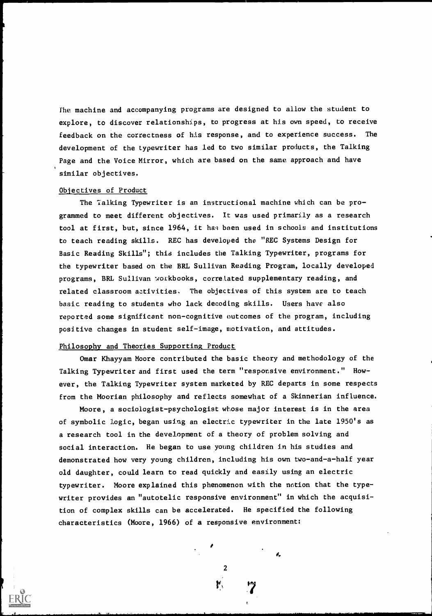fhe machine and accompanying programs are designed to allow the student to explore, to discover relationships, to progress at his own speed, to receive feedback on the correctness of his response, and to experience success. The development of the typewriter has led to two similar products, the Talking Page and the Voice Mirror, which are based on the same approach and have similar objectives.

#### Objectives of Product

The Talking Typewriter is an instructional machine which can be programmed to meet different objectives. It was used primarily as a research tool at first, but, since 1964, it has been used in schools and institutions to teach reading skills. REC has developed the "REC Systems Design for Basic Reading Skills"; this includes the Talking Typewriter, programs for the typewriter based on the BRL Sullivan Reading Program, locally developed programs, BRL Sullivan workbooks, correlated supplementary reading, and related classroom activities. The objectives of this system are to teach basic reading to students who lack decoding skills. Users have also reported some significant non-cognitive outcomes of the program, including positive changes in student self-image, motivation, and attitudes.

#### Philosophy and Theories Supporting Product

Omar Khayyam Moore contributed the basic theory and methodology of the Talking Typewriter and first used the term "responsive environment." However, the Talking Typewriter system marketed by REC departs in some respects from the Moorian philosophy and reflects somewhat of a Skinnerian influence.

Moore, a sociologist-psychologist whose major interest is in the area of symbolic logic, began using an electric typewriter in the late 1950's as a research tool in the development of a theory of problem solving and social interaction. He began to use young children in his studies and demonstrated how very young children, including his own two-and-a-half year old daughter, could learn to read quickly and easily using an electric typewriter. Moore explained this phenomenon with the notion that the typewriter provides an "autotelic responsive environment" in which the acquisition of complex skills can be accelerated. He specified the following characteristics (Moore, 1966) of a responsive environment:

2

I.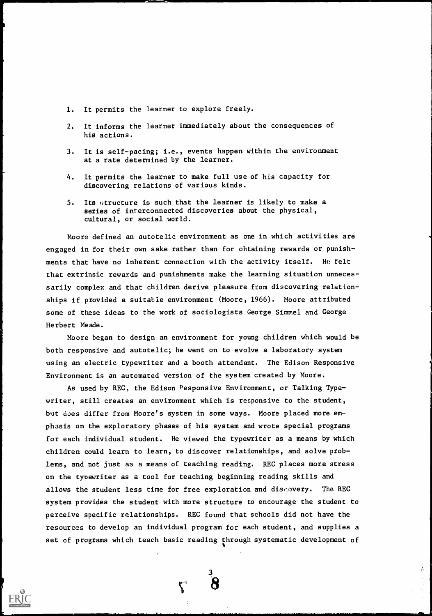- 1. It permits the learner to explore freely.
- 2. It informs the learner immediately about the consequences of his actions.
- 3. It is self-pacing; i.e., events happ en within the environment at a rate determined by the learner.
- 4. It permits the learner to make full us e of his capacity for discovering relations of various kinds.
- 5. Its fitructure is such that the learner is likely to make a series of interconnected discoveries about the physical, cultural, or social world.

Moore defined an autotelic environment as one in which activities are engaged in for their own sake rather than for obtaining rewards or punishments that have no inherent connection with the activity itself. He felt that extrinsic rewards and punishments make the learning situation unnecessarily complex and that children derive pleasure from disco vering relationships if provided a suitable environment (Moore, 1966). Moo re attributed some of these ideas to the work of sociologists George Simmel and George Herbert Meade.

Moore began to design an environment for young children whi ch would be both responsive and autotelic; he went on to evolve a laboratory system using an electric typewriter and a booth attendant. The Edison Re sponsive Environment is an automated version of the system created by Moore.

As used by REC, the Edison Pesponsive Environment, or Talking Typ ewriter, still creates an environment which is responsive to the student, but does differ from Moore's system in some ways. Moore placed more emphasis on the exploratory phases of his system and wrote special programs for each individual student. He viewed the typewriter as a means by which children could learn to learn, to discover relationships, and solve problems, and not just as a means of teaching reading. REC places more stress on the typewriter as a tool for teaching beginning reading skills and allows the student less time for free exploration and discovery. The REC system provides the student with more structure to encourage the student to perceive specific relationships. REC found that schools did not have the resources to develop an individual program for each student, and supplies a set of programs which teach basic reading through systematic development of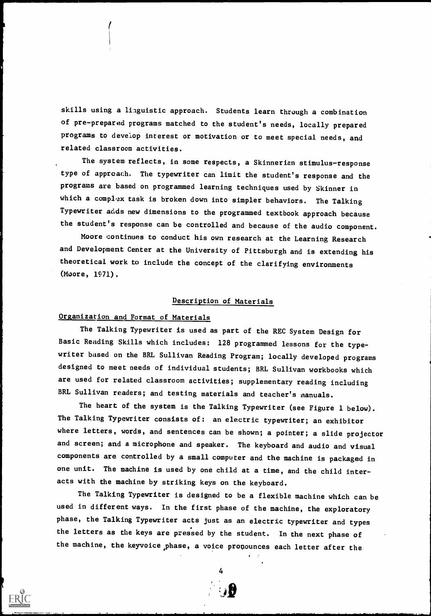skills using a linguistic approach. Students learn through a combination of pre-prepared programs matched to the student's needs, locally prepared programs to develop interest or motivation or to meet special needs, and related classroom activities.

The system reflects, in some respects, a Skinnerian stimulus-response type of approach. The typewriter can limit the student's response and the programs are based on programmed learning techniques used by Skinner in which a complex task is broken down into simpler behaviors. The Talking Typewriter adds new dimensions to the programmed textbook approach because the student's response can be controlled and because of the audio component.

Moore continues to conduct his own research at the Learning Research and Development Center at the University of Pittsburgh and is extending his theoretical work to include the concept of the clarifying environments (Moore, 1971).

# Description of Materials

# Organization and Format of Materials

The Talking Typewriter is used as part of the REC System Design for Basic Reading Skills which includes: 128 programmed lessons for the typewriter based on the BRL Sullivan Reading Program; locally developed programs designed to meet needs of individual students; BRL Sullivan workbooks which are used for related classroom activities; supplementary reading including BRL Sullivan readers; and testing materials and teacher's manuals.

The heart of the system is the Talking Typewriter (see Figure 1 below). The Talking Typewriter consists of: an electric typewriter; an exhibitor where letters, words, and sentences can be shown; a pointer; a slide projector and screen; and a microphone and speaker. The keyboard and audio and visual components are controlled by a small computer and the machine is packaged in one unit. The machine is used by one child at a time, and the child interacts with the machine by striking keys on the keyboard.

The Talking Typewriter is designed to be a flexible machine which can be used in different ways. In the first phase of the machine, the exploratory phase, the Talking Typewriter acts just as an electric typewriter and types the letters as the keys are pressed by the student. In the next phase of the machine, the keyvoice,phase, a voice pronounces each letter after the

4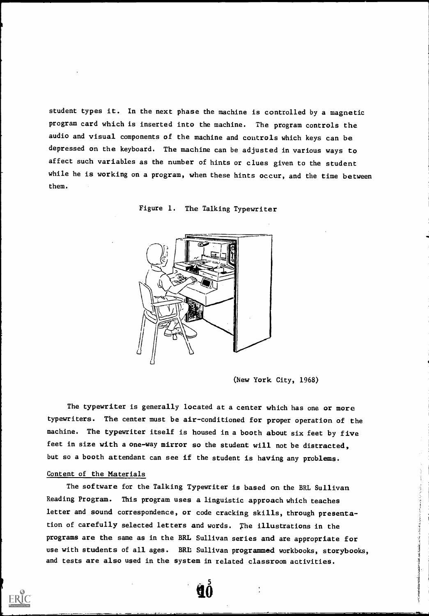student types it. In the next phase the machine is controlled by a magnetic program card which is inserted into the machine. The program controls the audio and visual components of the machine and controls which keys can be depressed on the keyboard. The machine can be adjusted in various ways to affect such variables as the number of hints or clues given to the student while he is working on a program, when these hints occur, and the time between them.





(New York City, 1968)

**All Monte Delivery** 

The typewriter is generally located at a center which has one or more typewriters. The center must be air-conditioned for proper operation of the machine. The typewriter itself is housed in a booth about six feet by five feet in size with a one-way mirror so the student will not be distracted, but so a booth attendant can see if the student is having any problems.

## Content of the Materials

The software for the Talking Typewriter is based on the BRL Sullivan Reading Program. This program uses a linguistic approach which teaches letter and sound correspondence, or code cracking skills, through presentation of carefully selected letters and words. The illustrations in the programs are the same as in the BRL Sullivan series and are appropriate for use with students of all ages. BRL Sullivan programmed workbooks, storybooks, and tests are also used in the system in related classroom activities.

1,6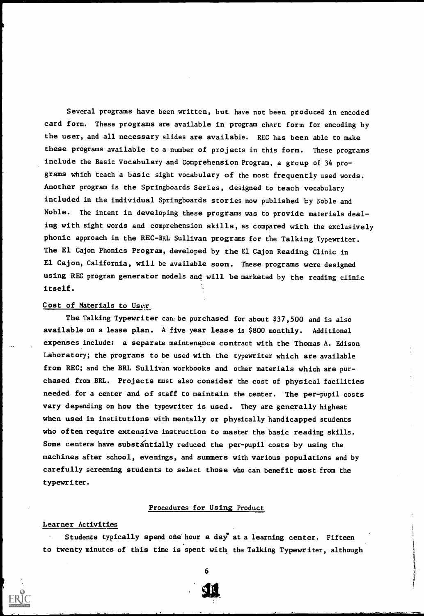Several programs have been written, but have not been produced in encoded card form. These programs are available in program chart form for encoding by the user, and all necessary slides are available. REC has been able to make these programs available to a number of projects in this form. These programs include the Basic Vocabulary and Comprehension Program, a group of 34 programs which teach a basic sight vocabulary of the most frequently used words. Another program is the Springboards Series, designed to teach vocabulary included in the individual Springboards stories now published by Noble and Noble. The intent in developing these programs was to provide materials dealing with sight words and comprehension skills, as compared with the exclusively phonic approach in the REC-BRL Sullivan programs for the Talking Typewriter. The El Cajon Phonics Program, developed by the El Cajon Reading Clinic in El Cajon, California, will be available soon. These programs were designed using REC program generator models and will be marketed by the reading clinic itself.

# Cost of Materials to User.

The Talking Typewriter can be purchased for about \$37,500 and is also available on a lease plan. A five year lease is \$800 monthly. Additional expenses include: a separate maintenance contract with the Thomas A. Edison Laboratory; the programs to be used with the typewriter which are available from REC; and the BRL Sullivan workbooks and other materials which are purchased from BRL. Projects must also consider the cost of physical facilities needed for a center and of staff to maintain the center. The per-pupil costs vary depending on how the typewriter is used. They are generally highest when used in institutions with mentally or physically handicapped students who often require extensive instruction to master the basic reading skills. Some centers have substantially reduced the per-pupil costs by using the machines after school, evenings, and summers with various populations and by carefully screening students to select those who can benefit most from the typewriter.

#### Procedures for Using Product

#### Learner Activities

Students typically spend one hour a day at a learning center. Fifteen to twenty minutes of this time is spent with the Talking Typewriter, although

6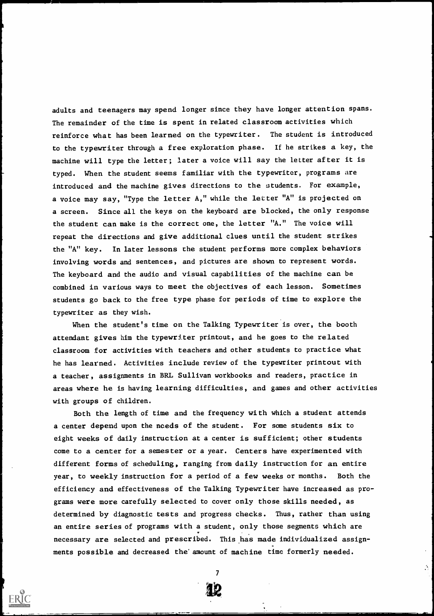adults and teenagers may spend longer since they have longer attention spans. The remainder of the time is spent in related classroom activities which reinforce what has been learned on the typewriter. The student is introduced to the typewriter through a free exploration phase. If he strikes a key, the machine will type the letter; later a voice will say the letter after it is typed. When the student seems familiar with the typewriter, programs are introduced and the machine gives directions to the students. For example, a voice may say, "Type the letter A," while the letter "A" is projected on a screen. Since all the keys on the keyboard are blocked, the only response the student can make is the correct one, the letter "A." The voice will repeat the directions and give additional clues until the student strikes the "A" key. In later lessons the student performs more complex behaviors involving words and sentences, and pictures are shown to represent words. The keyboard and the audio and visual capabilities of the machine can be combined in various ways to meet the objectives of each lesson. Sometimes students go back to the free type phase for periods of time to explore the typewriter as they wish.

When the student's time on the Talking Typewriter is over, the booth attendant gives him the typewriter printout, and he goes to the related classroom for activities with teachers and other students to practice what he has learned. Activities include review of the typewriter printout with a teacher, assignments in BRL Sullivan workbooks and readers, practice in areas where he is having learning difficulties, and games and other activities with groups of children.

Both the length of time and the frequency with which a student attends a center depend upon the needs of the student. For some students six to eight weeks of daily instruction at a center is sufficient; other students come to a center for a semester or a year. Centers have experimented with different forms of scheduling, ranging from daily instruction for an entire year, to weekly instruction for a period of a few weeks or months. Both the efficiency and effectiveness of the Talking Typewriter have increased as programs were more carefully selected to cover only those skills needed, as determined by diagnostic tests and progress checks. Thus, rather than using an entire series of programs with a student, only those segments which are necessary are selected and prescribed. This has made individualized assign-. ments possible and decreased the'amount of machine time formerly needed.



 $\mathcal{L}$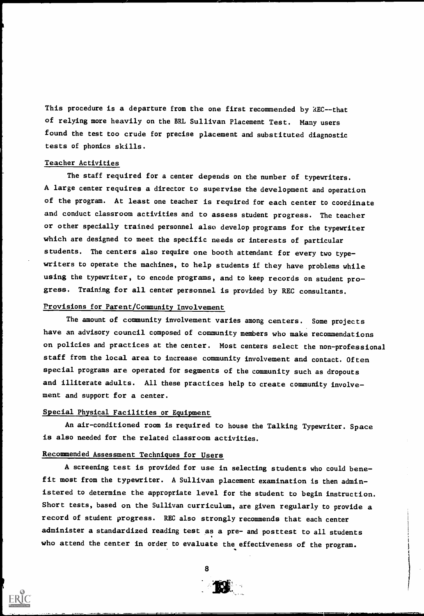This procedure is a departure from the one first recommended by REC--that of relying more heavily on the BRL Sullivan Placement Test. Many users found the test too crude for precise placement and substituted diagnostic tests of phonics skills.

#### Teacher Activities

The staff required for a center depends on the number of typewriters. A large center requires a director to supervise the development and operation of the program. At least one teacher is required for each center to coordinate and conduct classroom activities and to assess student progress. The teacher or other specially trained personnel also develop programs for the typewriter which are designed to meet the specific needs or interests of particular students. The centers also require one booth attendant for every two typewriters to operate the machines, to help students if they have problems while using the typewriter, to encode programs, and to keep records on student progress. Training for all center personnel is provided by REC consultants.

#### Provisions for Parent/Community Involvement

The amount of community involvement varies among centers. Some projects have an advisory council composed of community members who make recommendations on policies and practices at the center. Most centers select the non-professional staff from the local area to increase community involvement and contact. Often special programs are operated for segments of the community such as dropouts and illiterate adults. All these practices help to create community involvement and support for a center.

#### Special Physical Facilities or Equipment

An air-conditioned room is required to house the Talking Typewriter. Space is also needed for the related classroom activities.

# Recommended Assessment Techniques for Users

A screening test is provided for use in selecting students who could benefit most from the typewriter. A Sullivan placement examination is then administered to determine the appropriate level for the student to begin instruction. Short tests, based on the Sullivan curriculum, are given regularly to provide a record of student progress. REC also strongly recommends that each center administer a standardized reading test as a pre- and posttest to all students who attend the center in order to evaluate the effectiveness of the program.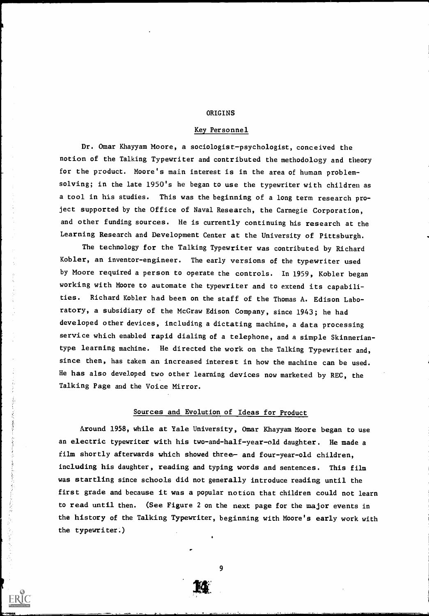#### ORIGINS

#### Key Personnel

Dr. Omar Khayyam Moore, a sociologist-psychologist, conceived the notion of the Talking Typewriter and contributed the methodology and theory for the product. Moore's main interest is in the area of human problemsolving; in the late 1950's he began to use the typewriter with children as a tool in his studies. This was the beginning of a long term research project supported by the Office of Naval Research, the Carnegie Corporation, and other funding sources. He is currently continuing his research at the Learning Research and Development Center at the University of Pittsburgh.

The technology for the Talking Typewriter was contributed by Richard Kobler, an inventor-engineer. The early versions of the typewriter used by Moore required a person to operate the controls. In 1959, Kobler began working with Moore to automate the typewriter and to extend its capabilities. Richard Kobler had been on the staff of the Thomas A. Edison Laboratory, a subsidiary of the McGraw Edison Company, since 1943; he had developed other devices, including a dictating machine, a data processing service which enabled rapid dialing of a telephone, and a simple Skinneriantype learning machine. He directed the work on the Talking Typewriter and, since then, has taken an increased interest in how the machine can be used. He has also developed two other learning devices now marketed by REC, the Talking Page and the Voice Mirror.

#### Sources and Evolution of Ideas for Product

Around 1958, while at Yale University, Omar Khayyam Moore began to use an electric typewriter with his two-and-half-year-old daughter. He made a film shortly afterwards which showed three- and four-year-old children, including his daughter, reading and typing words and sentences. This film was startling since schools did not generally introduce reading until the first grade and because it was a popular notion that children could not learn to read until then. (See Figure 2 on the next page for the major events in the history of the Talking Typewriter, beginning with Moore's early work with the typewriter.)

まさんとうことをおける あいかん

9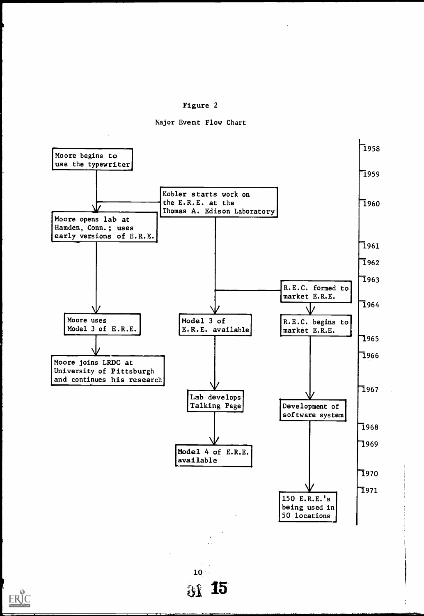

Major Event Flow Chart



ERIC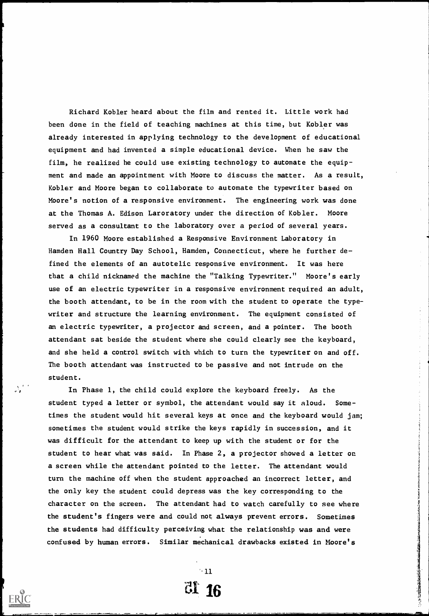Richard Kobler heard about the film and rented it. Little work had been done in the field of teaching machines at this time, but Kobler was already interested in applying technology to the development of educational equipment and had invented a simple educational device. When he saw the film, he realized he could use existing technology to automate the equipment and made an appointment with Moore to discuss the matter. As a result, Kobler and Moore began to collaborate to automate the typewriter based on Moore's notion of a responsive environment. The engineering work was done at the Thomas A. Edison Laroratory under the direction of Kobler. Moore served as a consultant to the laboratory over a period of several years.

In 1960 Moore established a Responsive Environment Laboratory in Hamden Hall Country Day School, Hamden, Connecticut, where he further defined the elements of an autotelic responsive environment. It was here that a child nicknamed the machine the "Talking Typewriter." Moore's early use of an electric typewriter in a responsive environment required an adult, the booth attendant, to be in the room with the student to operate the typewriter and structure the learning environment. The equipment consisted of an electric typewriter, a projector and screen, and a pointer. The booth attendant sat beside the student where she could clearly see the keyboard, and she held a control switch with which to turn the typewriter on and off. The booth attendant was instructed to be passive and not intrude on the student.

In Phase 1, the child could explore the keyboard freely. As the student typed a letter or symbol, the attendant would say it aloud. Sometimes the student would hit several keys at once and the keyboard would jam; sometimes the student would strike the keys rapidly in succession, and it was difficult for the attendant to keep up with the student or for the student to hear what was said. In Phase 2, a projector showed a letter on a screen while the attendant pointed to the letter. The attendant would turn the machine off when the student approached an incorrect letter, and the only key the student could depress was the key corresponding to the character on the screen. The attendant had to watch carefully to see where the student's fingers were and could not always prevent errors. Sometimes the students had difficulty perceiving what the relationship was and were confused by human errors. Similar mechanical drawbacks existed in Moore's

> $-11$ di 16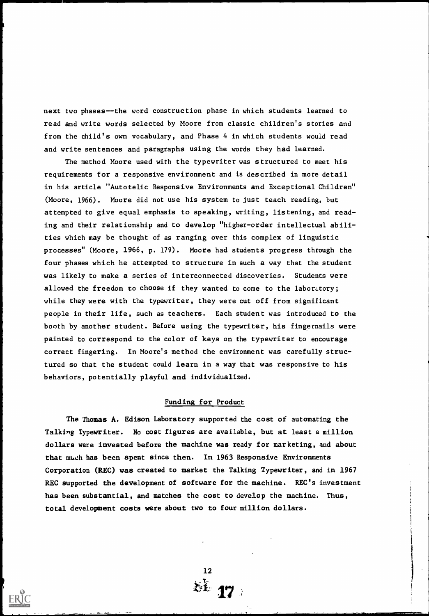next two phases--the wcrd construction phase in which students learned to read and write words selected by Moore from classic children's stories and from the child's own vocabulary, and Phase 4 in which students would read and write sentences and paragraphs using the words they had learned.

The method Moore used with the typewriter was structured to meet his requirements for a responsive environment and is described in more detail in his article "Autotelic Responsive Environments and Exceptional Children" (Moore, 1966). Moore did not use his system to just teach reading, but attempted to give equal emphasis to speaking, writing, listening, and reading and their relationship and to develop "higher-order intellectual abilities which may be thought of as ranging over this complex of linguistic processes" (Moore, 1966, p. 179). Moore had students progress through the four phases which he attempted to structure in such a way that the student was likely to make a series of interconnected discoveries. Students were allowed the freedom to choose if they wanted to come to the laboratory; while they were with the typewriter, they were cut off from significant people in their life, such as teachers. Each student was introduced to the booth by another student. Before using the typewriter, his fingernails were painted to correspond to the color of keys on the typewriter to encourage correct fingering. In Moore's method the environment was carefully structured so that the student could learn in a way that was responsive to his behaviors, potentially playful and individualized.

#### Funding for Product

The Thomas A. Edison Laboratory supported the cost of automating the Talking Typewriter. No cost figures are available, but at least a million dollars were invested before the machine was ready for marketing, and about that muzh has been spent since then. In 1963 Responsive Environments Corporation (REC) was created to market the Talking Typewriter, and in 1967 REC supported the development of software for the machine. REC's investment has been substantial, and matches the cost to develop the machine. Thus, total development costs were about two to four million dollars.

12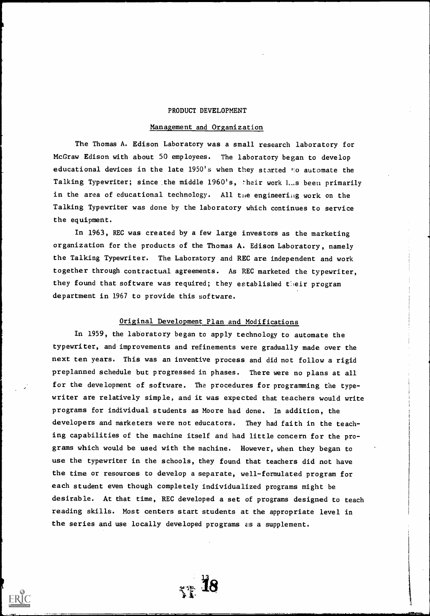#### PRODUCT DEVELOPMENT

#### Management and Organization

The Thomas A. Edison Laboratory was a small research laboratory for McGraw Edison with about 50 employees. The laboratory began to develop educational devices in the late 1950's when they started to automate the Talking Typewriter; since the middle 1960's, their work Las been primarily in the area of educational technology. All the engineering work on the Talking Typewriter was done by the laboratory which continues to service the equipment.

In 1963, REC was created by a few large investors as the marketing organization for the products of the Thomas A. Edison Laboratory, namely the Talking Typewriter. The Laboratory and REC are independent and work together through contractual agreements. As REC marketed the typewriter, they found that software was required; they established their program department in 1967 to provide this software.

#### Original Development Plan and Modifications

In 1959, the laboratory began to apply technology to automate the typewriter, and improvements and refinements were gradually made over the next ten years. This was an inventive process and did not follow a rigid preplanned schedule but progressed in phases. There were no plans at all for the development of software. The procedures for programming the typewriter are relatively simple, and it was expected that teachers would write programs for individual students as Moore had done. In addition, the developers and marketers were not educators. They had faith in the teaching capabilities of the machine itself and had little concern for the programs which would be used with the machine. However, when they began to use the typewriter in the schools, they found that teachers did not have the time or resources to develop a separate, well-formulated program for each student even though completely individualized programs might be desirable. At that time, REC developed a set of programs designed to teach reading skills. Most centers start students at the appropriate level in the series and use locally developed programs  $e$ s a supplement.

 $_{\gamma\gamma}$  18

vis,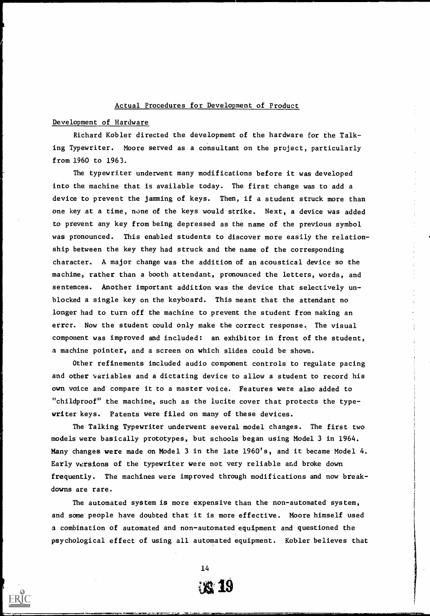#### Actual Procedures for Development of Product

#### Development of Hardware

Richard Kobler directed the development of the hardware for the Talking Typewriter. Moore served as a consultant on the project, particularly from 1960 to 1963.

The typewriter underwent many modifications before it was developed into the machine that is available today. The first change was to add a device to prevent the jamming of keys. Then, if a student struck more than one key at a time, none of the keys would strike. Next, a device was added to prevent any key from being depressed as the name of the previous symbol was pronounced. This enabled students to discover more easily the relationship between the key they had struck and the name of the corresponding character. A major change was the addition of an acoustical device so the machine, rather than a booth attendant, pronounced the letters, words, and sentences. Another important addition was the device that selectively unblocked a single key on the keyboard. This meant that the attendant no longer had to turn off the machine to prevent the student from making an errcr. Now the student could only make the correct response. The visual component was improved and included: an exhibitor in front of the student, a machine pointer, and a screen on which slides could be shown.

Other refinements included audio component controls to regulate pacing and other variables and a dictating device to allow a student to record his own voice and compare it to a master voice. Features were also added to "childproof" the machine, such as the lucite cover that protects the typewriter keys. Patents were filed on many of these devices.

The Talking Typewriter underwent several model changes. The first two models were basically prototypes, but schools began using Model 3 in 1964. Many changes were made on Model 3 in the late 1960's, and it became Model 4. Early versions of the typewriter were not very reliable and broke down frequently. The machines were improved through modifications and now breakdowns are rare.

The automated system is more expensive than the non-automated system, and some people have doubted that it is more effective. Moore himself used a combination of automated and non-automated equipment and questioned the psychological effect of using all automated equipment. Kobler believes that

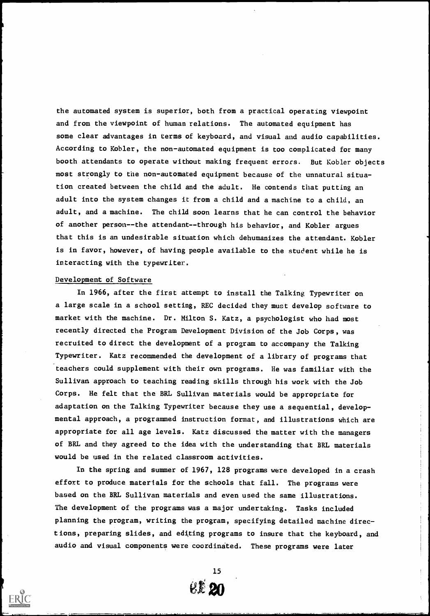the automated system is superior, both from a practical operating viewpoint and from the viewpoint of human relations. The automated equipment has some clear advantages in terms of keyboard, and visual and audio capabilities. According to Kobler, the non-automated equipment is too complicated for many booth attendants to operate without making frequent errors. But Kobler objects most strongly to the non-automated equipment because of the unnatural situation created between the child and the adult. He contends that putting an adult into the system changes it from a child and a machine to a child, an adult, and a machine. The child soon learns that he can control the behavior of another person--the attendant--through his behavior, and Kobler argues that this is an undesirable situation which dehumanizes the attendant. Kobler is in favor, however, of having people available to the student while he is interacting with the typewriter.

#### Development of Software

In 1966, after the first attempt to install the Talking Typewriter on a large scale in a school setting, REC decided they must develop software to market with the machine. Dr. Milton S. Katz, a psychologist who had most recently directed the Program Development Division of the Job Corps, was recruited to direct the development of a program to accompany the Talking Typewriter. Katz recommended the development of a library of programs that teachers could supplement with their own programs. He was familiar with the Sullivan approach to teaching reading skills through his work with the Job Corps. He felt that the BRL Sullivan materials would be appropriate for adaptation on the Talking Typewriter because they use a sequential, developmental approach, a programmed instruction format, and illustrations which are appropriate for all age levels. Katz discussed the matter with the managers of BRL and they agreed to the idea with the understanding that BRL materials would be used in the related classroom activities.

In the spring and summer of 1967, 128 programs were developed in a crash effort to produce materials for the schools that fall. The programs were based on the BRL Sullivan materials and even used the same illustrations. The development of the programs was a major undertaking. Tasks included planning the program, writing the program, specifying detailed machine directions, preparing slides, and editing programs to insure that the keyboard, and audio and visual components were coordinated. These programs were later

15

**EL 20**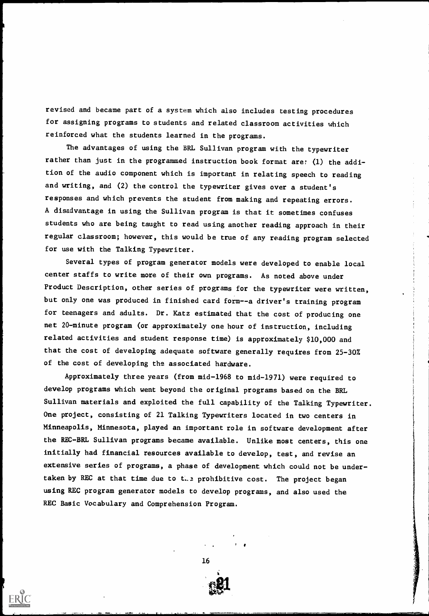revised and became part of a system which also includes testing procedures for assigning programs to students and related classroom activities which reinforced what the students learned in the programs.

The advantages of using the BRL Sullivan program with the typewriter rather than just in the programmed instruction book format are: (1) the addition of the audio component which is important in relating speech to reading and writing, and (2) the control the typewriter gives over a student's responses and which prevents the student from making and repeating errors. A disadvantage in using the Sullivan program is that it sometimes confuses students who are being taught to read using another reading approach in their regular classroom; however, this would be true of any reading program selected for use with the Talking Typewriter.

Several types of program generator models were developed to enable local center staffs to write more of their own programs. As noted above under Product Description, other series of programs for the typewriter were written, but only one was produced in finished card form--a driver's training program for teenagers and adults. Dr. Katz estimated that the cost of producing one net 20-minute program (or approximately one hour of instruction, including related activities and student response time) is approximately \$10,000 and that the cost of developing adequate software generally requires from 25-30% of the cost of developing the associated hardware.

Approximately three years (from mid-1968 to mid-1971) were required to develop programs which went beyond the original programs based on the BRL Sullivan materials and exploited the full capability of the Talking Typewriter. One project, consisting of 21 Talking Typewriters located in two centers in Minneapolis, Minnesota, played an important role in software development after the REC-BRL Sullivan programs became available. Unlike most centers, this one initially had financial resources available to develop, test, and revise an extensive series of programs, a phase of development which could not be undertaken by REC at that time due to the prohibitive cost. The project began using REC program generator models to develop programs, and also used the REC Basic Vocabulary and Comprehension Program.

16

!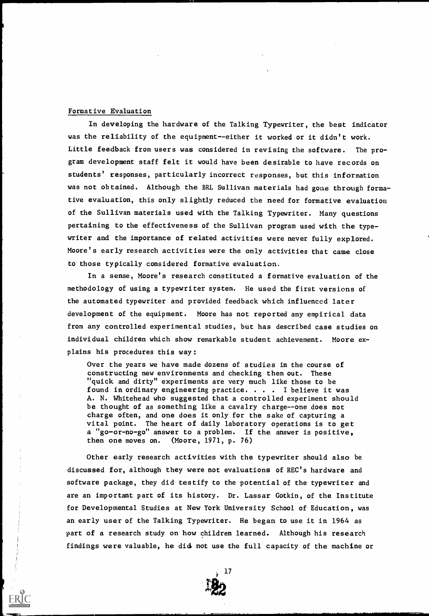#### Formative Evaluation

In developing the hardware of the Talking Typewriter, the best indicator was the reliability of the equipment--either it worked or it didn't work. Little feedback from users was considered in revising the software. The program development staff felt it would have been desirable to have records on students' responses, particularly incorrect responses, but this information was not obtained. Although the BRL Sullivan materials had gone through formative evaluation, this only slightly reduced the need for formative evaluation of the Sullivan materials used with the Talking Typewriter. Many questions pertaining to the effectiveness of the Sullivan program used with the typewriter and the importance of related activities were never fully explored. Moore's early research activities were the only activities that came close to those typically considered formative evaluation.

In a sense, Moore's research constituted a formative evaluation of the methodology of using a typewriter system. He used the first versions of the automated typewriter and provided feedback which influenced later development of the equipment. Moore has not reported any empirical data from any controlled experimental studies, but has described case studies on individual children which show remarkable student achievement. Moore explains his procedures this way:

Over the years we have made dozens of studies in the course of constructing new environments and checking them out. These "quick and dirty" experiments are very much like those to be found in ordinary engineering practice. . . . I believe it was A. N. Whitehead who suggested that a controlled experiment should be thought of as something like a cavalry charge--one does not charge often, and one does it only for the sake of capturing a vital point. The heart of daily laboratory operations is to get a "go-or-no-go" answer to a problem. If the answer is positive, then one moves on. (Moore, 1971, p. 76)

Other early research activities with the typewriter should also be discussed for, although they were not evaluations of REC's hardware and software package, they did testify to the potential of the typewriter and are an important part of its history. Dr. Lassar Gotkin, of the Institute for Developmental Studies at New York University School of Education, was an early user of the Talking Typewriter. He began to use it in 1964 as part of a research study on how children learned. Although his research findings were valuable, he did not use the full capacity of the machine or

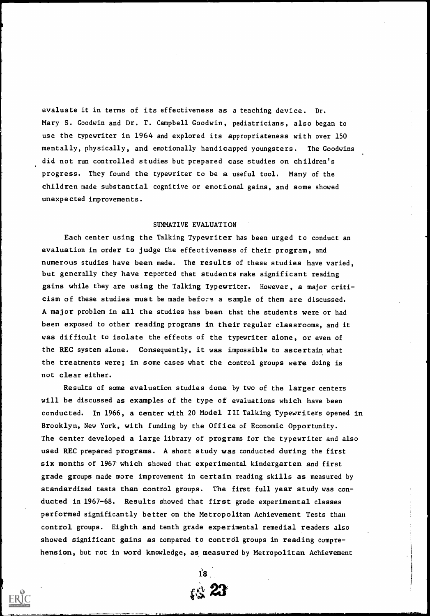evaluate it in terms of its effectiveness as a teaching device. Dr. Mary S. Goodwin and Dr. T. Campbell Goodwin, pediatricians, also began to use the typewriter in 1964 and explored its appropriateness with over 150 mentally, physically, and emotionally handicapped youngsters. The Goodwins did not run controlled studies but prepared case studies on children's progress. They found the typewriter to be a useful tool. Many of the children made substantial cognitive or emotional gains, and some showed unexpected improvements.

#### SUMMATIVE EVALUATION

Each center using the Talking Typewriter has been urged to conduct an evaluation in order to judge the effectiveness of their program, and numerous studies have been made. The results of these studies have varied, but generally they have reported that students make significant reading gains while they are using the Talking Typewriter. However, a major criticism of these studies must be made before a sample of them are discussed. A major problem in all the studies has been that the students were or had been exposed to other reading programs in their regular classrooms, and it was difficult to isolate the effects of the typewriter alone, or even of the REC system alone. Consequently, it was impossible to ascertain what the treatments were; in some cases what the control groups were doing is not clear either.

Results of some evaluation studies done by two of the larger centers will be discussed as examples of the type of evaluations which have been conducted. In 1966, a center with 20 Model III Talking Typewriters opened in Brooklyn, New York, with funding by the Office of Economic Opportunity. The center developed a large library of programs for the typewriter and also used REC prepared programs. A short study was conducted during the first six months of 1967 which showed that experimental kindergarten and first grade groups made more improvement in certain reading skills as measured by standardized tests than control groups. The first full year study was conducted in 1967-68. Results showed that first grade experimental classes performed significantly better on the Metropolitan Achievement Tests than control groups. Eighth and tenth grade experimental remedial readers also showed significant gains as compared to control groups in reading comprehension, but not in word knowledge, as measured by Metropolitan Achievement



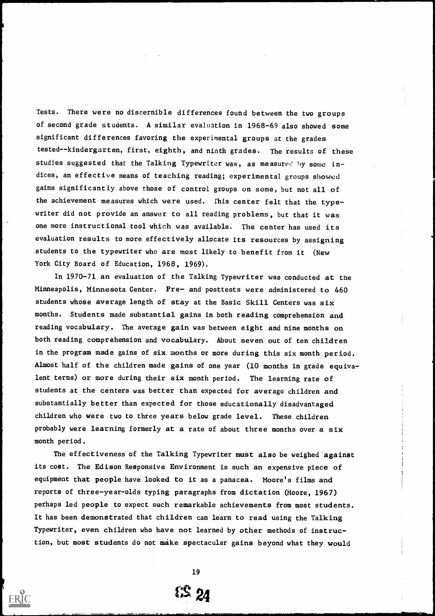Tests. There were no discernible differences found between the two groups of second grade students. A similar evaluation in 1968-69 also showed some significant differences favoring the experimental groups at the grades tested--kindergarten, first, eighth, and ninth grades. The results of these studies suggested that the Talking Typewriter was, as measured by some indices, an effective means of teaching reading; experimental groups showed gains significantly above those of control groups on some, but not all of the achievement measures which were used. This center felt that the typewriter did not provide an answer to all reading problems, but that it was one more instructional tool which was available. The center has used its evaluation results to more effectively allocate its resources by assigning students to the typewriter who are most likely to benefit from it (New York City Board of Education, 1968, 1969).

In 1970-71 an evaluation of the Talking Typewriter was conducted at the Minneapolis, Minnesota Center. Pre- and posttests were administered to 460 students whose average length of stay at the Basic Skill Centers was six months. Students made substantial gains in both reading comprehension and reading vocabulary. The average gain was between eight and nine months on both reading comprehension and vocabulary. About seven out of ten children in the program made gains of six months or more during this six month period. Almost half of the children made gains of one year (10 months in grade equivalent terms) or more during their six month period. The learning rate of students at the centers was better than expected for average children and substantially better than expected for those educationally disadvantaged children who were two to three years below grade level. These children probably were learning formerly at a rate of about three months over a six month period.

The effectiveness of the Talking Typewriter must also be weighed 'against its cost. The Edison Responsive Environment is such an expensive piece of equipment that people have looked to it as a panacea. Moore's films and reports of three-year-olds typing paragraphs from dictation (Moore, 1967) perhaps led people to expect such remarkable achievements from most students. It has been demonstrated that children can learn to read using the Talking Typewriter, even children who have not learned by other methods of instruction, but most students do not make spectacular gains beyond what they would

19

# 15 24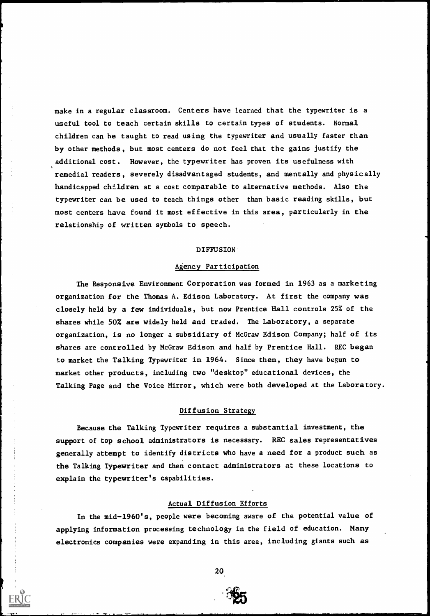make in a regular classroom. Centers have learned that the typewriter is a useful tool to teach certain skills to certain types of students. Normal children can he taught to read using the typewriter and usually faster than by other methods, but most centers do not feel that the gains justify the additional cost. However, the typewriter has proven its usefulness with remedial readers, severely disadvantaged students, and mentally and physically handicapped children at a cost comparable to alternative methods. Also the typewriter can be used to teach things other than basic reading skills, but most centers have found it most effective in this area, particularly in the relationship of written symbols to speech.

#### DIFFUSION

#### Agency Participation

The Responsive Environment Corporation was formed in 1963 as a marketing organization for the Thomas A. Edison Laboratory. At first the company was closely held by a few individuals, but now Prentice Hall controls 25% of the shares while 50% are widely held and traded. The Laboratory, a separate organization, is no longer a subsidiary of McGraw Edison Company; half of its shares are controlled by McGraw Edison and half by Prentice Hall. REC began to market the Talking Typewriter in 1964. Since then, they have begun to market other products, including two "desktop" educational devices, the Talking Page and the Voice Mirror, which were both developed at the Laboratory.

#### Diffusion Strategy

Because the Talking Typewriter requires a substantial investment, the support of top school administrators is necessary. REC sales representatives generally attempt to identify districts who have a need for a product such as the Talking Typewriter and then contact administrators at these locations to explain the typewriter's capabilities.

#### Actual Diffusion Efforts

In the mid-1960's, people were becoming aware of the potential value of applying information processing technology in the field of education. Many electronics companies were expanding in this area, including giants such as



e\_a .1t\_a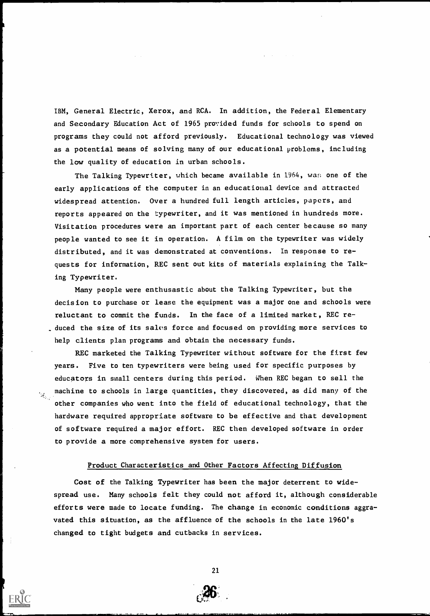IBM, General Electric, Xerox, and RCA. In addition, the Federal Elementary and Secondary Education Act of 1965 provided funds for schools to spend on programs they could not afford previously. Educational technology was viewed as a potential means of solving many of our educational problems, including the low quality of education in urban schools.

The Talking Typewriter, which became available in 1964, was one of the early applications of the computer in an educational device and attracted widespread attention. Over a hundred full length articles, papers, and reports appeared on the typewriter, and it was mentioned in hundreds more. Visitation procedures were an important part of each center because so many people wanted to see it in operation. A film on the typewriter was widely distributed, and it was demonstrated at conventions. In response to requests for information, REC sent out kits of materials explaining the Talking Typewriter.

Many people were enthusastic about the Talking Typewriter, but the decision to purchase or lease the equipment was a major one and schools were reluctant to commit the funds. In the face of a limited market, REC reduced the size of its sales force and focused on providing more services to help clients plan programs and obtain the necessary funds.

REC marketed the Talking Typewriter without software for the first few years. Five to ten typewriters were being used for specific purposes by educators in small centers during this period. When REC began to sell the machine to schools in large quantities, they discovered, as did many of the other companies who went into the field of educational technology, that the hardware required appropriate software to be effective and that development of software required a major effort. REC then developed software in order to provide a more comprehensive system for users.

 $\mathcal{H}_{\mathcal{O}_{\mathcal{A}}}$ 

#### Product Characteristics and Other Factors Affecting Diffusion

Cost of the Talking Typewriter has been the major deterrent to widespread use. Many schools felt they could not afford it, although considerable efforts were made to locate funding. The change in economic conditions aggravated this situation, as the affluence of the schools in the late 1960's changed to tight budgets and cutbacks in services.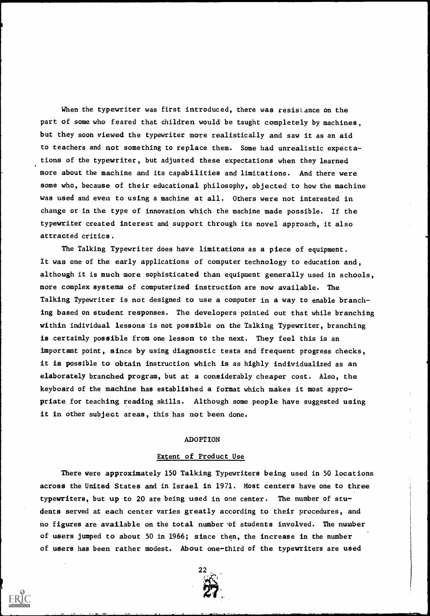When the typewriter was first introduced, there was resistance on the part of some who feared that children would be taught completely by machines, but they soon viewed the typewriter more realistically and saw it as an aid to teachers and not something to replace them. Some had unrealistic expectations of the typewriter, but adjusted these expectations when they learned more about the machine and its capabilities and limitations. And there were some who, because of their educational philosophy, objected to how the machine was used and even to using a machine at all. Others were not interested in change or in the type of innovation which the machine made possible. If the typewriter created interest and support through its novel approach, it also attracted critics.

The Talking Typewriter does have limitations as a piece of equipment. It was one of the early applications of computer technology to education and, although it is much more sophisticated than equipment generally used in schools, more complex systems of computerized instruction are now available. The Talking Typewriter is not designed to use a computer in a way to enable branching based on student responses. The developers pointed out that while branching within individual lessons is not possible on the Talking Typewriter, branching is certainly possible from one lesson to the next. They feel this is an important point, since by using diagnostic tests and frequent progress checks, it is possible to obtain instruction which is as highly individualized as an elaborately branched program, but at a considerably cheaper cost. Also, the keyboard of the machine has established a format which makes it most appropriate for teaching reading skills. Although some people have suggested using it in other subject areas, this has not been done.

#### ADOPTION

#### Extent of Product Use

There were approximately 150 Talking Typewriters being used in 50 locations across the United States and in Israel in 1971. Most centers have one to three typewriters, but up to 20 are being used in one center. The number of students served at each center varies greatly according to their procedures, and no figures are available on the total number of students involved. The number of users jumped to about 50 in 1966; since then, the increase in the number of users has been rather modest. About one-third of the typewriters are used

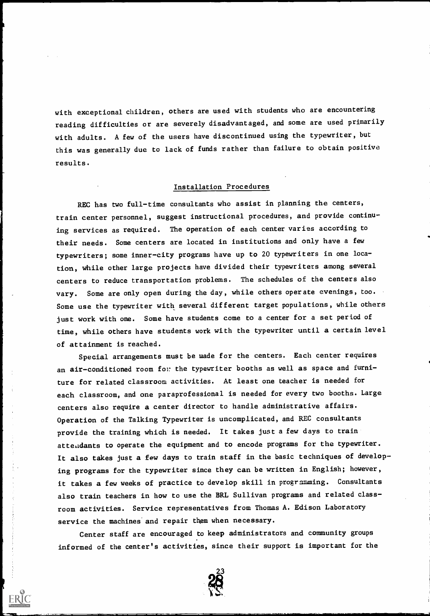with exceptional children, others are used with students who are encountering reading difficulties or are severely disadvantaged, and some are used primarily with adults. A few of the users have discontinued using the typewriter, but this was generally due to lack of funds rather than failure to obtain positive results.

# Installation Procedures

REC has two full-time consultants who assist in planning the centers, train center personnel, suggest instructional procedures, and provide continuing services as required. The operation of each center varies according to their needs. Some centers are located in institutions and only have a few typewriters; some inner-city programs have up to 20 typewriters in one location, while other large projects have divided their typewriters among several centers to reduce transportation problems. The schedules of the centers also vary. Some are only open during the day, while others operate evenings, too. Some use the typewriter with several different target populations, while others just work with one. Some have students come to a center for a set period of time, while others have students work with the typewriter until a certain level of attainment is reached.

Special arrangements must be made for the centers. Each center requires an air-conditioned room for the typewriter booths as well as space and furniture for related classroom activities. At least one teacher is needed for each classroom, and one paraprofessional is needed for every two booths. Large centers also require a center director to handle administrative affairs. Operation of the Talking Typewriter is uncomplicated, and REC consultants provide the training which is needed. It takes just a few days to train attendants to operate the equipment and to encode programs for the typewriter. It also takes just a few days to train staff in the basic techniques of developing programs for the typewriter since they can be written in English; however, it takes a few weeks of practice to develop skill in programming. Consultants also train teachers in how to use the BRL Sullivan programs and related classroom activities. Service representatives from Thomas A. Edison Laboratory service the machines and repair them when necessary.

Center staff are encouraged to keep administrators and community groups informed of the center's activities, since their support is important for the

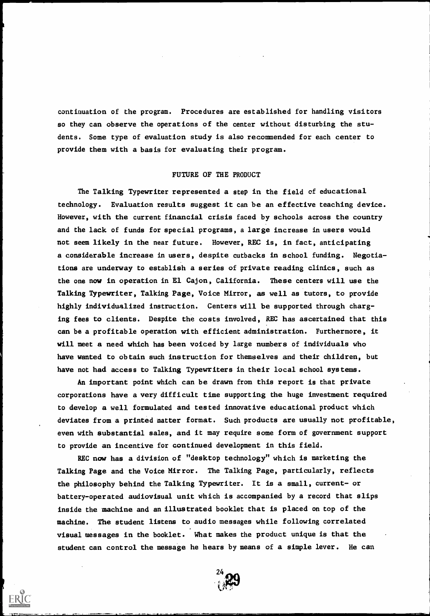continuation of the program. Procedures are established for handling visitors so they can observe the operations of the center without disturbing the students. Some type of evaluation study is also recommended for each center to provide them with a basis for evaluating their program.

#### FUTURE OF THE PRODUCT

The Talking Typewriter represented a step in the field of educational technology. Evaluation results suggest it can be an effective teaching device. However, with the current financial crisis faced by schools across the country and the lack of funds for special programs, a large increase in users would not seem likely in the near future. However, REC is, in fact, anticipating a considerable increase in users, despite cutbacks in school funding. Negotiations are underway to establish a series of private reading clinics, such as the one now in operation in El Cajon, California. These centers will use the Talking Typewriter, Talking Page, Voice Mirror, as well as tutors, to provide highly individualized instruction. Centers will be supported through charging fees to clients. Despite the costs involved, REC has ascertained that this can be a profitable operation with efficient administration. Furthermore, it will meet a need which has been voiced by large numbers of individuals who have wanted to obtain such instruction for themselves and their children, but have not had access to Talking Typewriters in their local school systems.

An important point which can be drawn from this report is that private corporations have a very difficult time supporting the huge investment required to develop a well formulated and tested innovative educational product which deviates from a printed matter format. Such products are usually not profitable, even with substantial sales, and it may require some form of government support to provide an incentive for continued development in this field.

REC now has a division of "desktop technology" which is marketing the Talking Page and the Voice Mirror. The Talking Page, particularly, reflects the philosophy behind the Talking Typewriter. It is a small, current- or battery-operated audiovisual unit which is accompanied by a record that slips inside the machine and an illustrated booklet that is placed on top of the machine. The student listens to audio messages while following correlated visual messages in the booklet. What makes the product unique is that the student can control the message he hears by means of a simple lever. He can

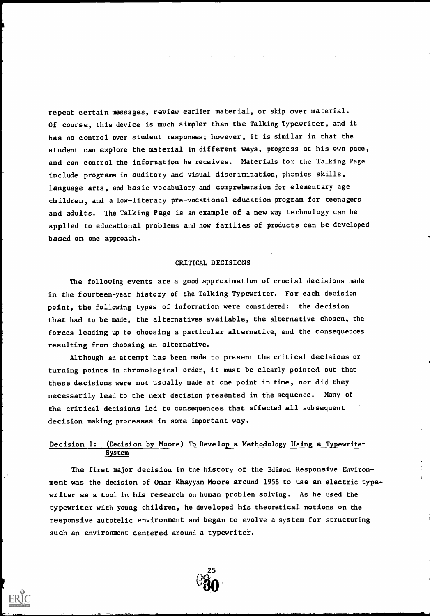repeat certain messages, review earlier material, or skip over material. Of course, this device is much simpler than the Talking Typewriter, and it has no control over student responses; however, it is similar in that the student can explore the material in different ways, progress at his own pace, and can control the information he receives. Materials for the Talking Page include programs in auditory and visual discrimination, phonics skills, language arts, and basic vocabulary and comprehension for elementary age children, and a low-literacy pre-vocational education program for teenagers and adults. The Talking Page is an example of a new way technology can be applied to educational problems and how families of products can be developed based on one approach.

#### CRITICAL DECISIONS

The following events are a good approximation of crucial decisions made in the fourteen-year history of the Talking Typewriter. For each decision point, the following types of information were considered: the decision that had to be made, the alternatives available, the alternative chosen, the forces leading up to choosing a particular alternative, and the consequences resulting from choosing an alternative.

Although an attempt has been made to present the critical decisions or turning points in chronological order, it must be clearly pointed out that these decisions were not usually made at one point in time, nor did they necessarily lead to the next. decision presented in the sequence. Many of the critical decisions led to consequences that affected all subsequent decision making processes in some important way.

## Decision 1: (Decision by Moore) To Develop.a Methodology Using a Typewriter System

The first major decision in the history of the Edison Responsive Environment was the decision of Omar Khayyam Moore around 1958 to use an electric typewriter as a tool in his research on human problem solving. As he used the typewriter with young children, he developed his theoretical notions on the responsive autotelic environment and began to evolve a system for structuring such an environment centered around a typewriter.

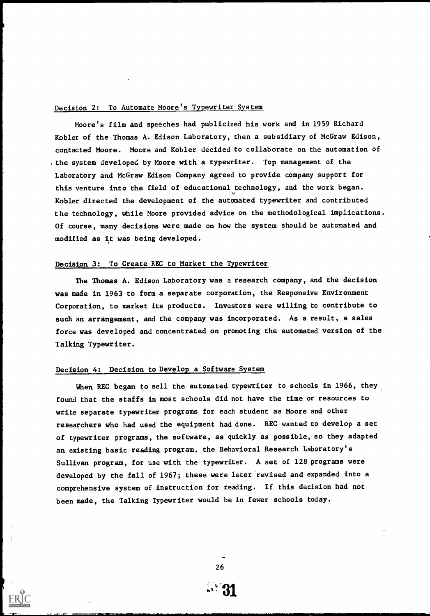# Decision 2: To Automate Moore's Typewriter System

Moore's film and speeches had publicized his work and in 1959 Richard Kobler of the Thomas A. Edison Laboratory, then a subsidiary of McGraw Edison, contacted Moore. Moore and Kobler decided to collaborate on the automation of .the system developed by Moore with a typewriter. Top management of the Laboratory and McGraw Edison Company agreed to provide company support for this venture into the field of educational technology, and the work began. Kobler directed the development of the automated typewriter and contributed the technology, while Moore provided advice on the methodological implications. Of course, many decisions were made on how the system should be automated and modified as it was being developed.

#### Decision 3: To Create REC to Market the Typewriter

The Thomas A. Edison Laboratory was a research company, and the decision was made in 1963 to form a separate corporation, the Responsive Environment Corporation, to market its products. Investors were willing to contribute to such an arrangement, and the company was incorporated. As a result, a sales force was developed and concentrated on promoting the automated version of the Talking Typewriter.

#### Decision 4: Decision to Develop a Software System

When REC began to sell the automated typewriter to schools in 1966, they found that the staffs in most schools did not have the time or resources to write separate typewriter programs for each student as Moore and other researchers who had used the equipment had done. REC wanted to develop a set of typewriter programs, the software, as quickly as possible, so they adapted an existing basic reading program, the Behavioral Research Laboratory's Sullivan program, for use with the typewriter. A set of 128 programs were developed by the fall of 1967; these were later revised and expanded into a comprehensive system of instruction for reading. If this decision had not been made, the Talking Typewriter would be in fewer schools today.

26

 $\mathbb{R}^331$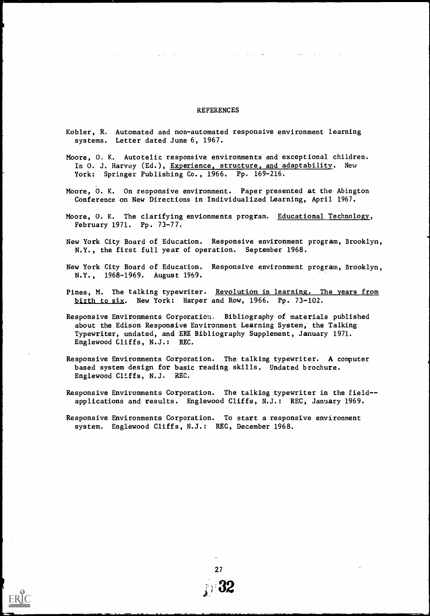#### REFERENCES

- Kobler, R, Automated and non-automated responsive environment learning systems. Letter dated June 6, 1967.
- Moore, 0, K. Autotelic responsive environments and exceptional children. In O. J. Harvey (Ed.), Experience, structure, and adaptability. New York: Springer Publishing Co., 1966. Pp. 169-216.
- Moore, O. K. On responsive environment. Paper presented at the Abington Conference on New Directions in Individualized Learning, April 1967.
- Moore, O. K. The clarifying envionments program. Educational Technology, February 1971. Pp. 73-77.
- New York City Board of Education. Responsive environment program, Brooklyn, N.Y., the first full year of operation. September 1968.
- New York City Board of Education. Responsive environment program, Brooklyn, N.Y., 1968-1969. August 1969.
- Pines, M. The talking typewriter. Revolution in learning. The years from birth to six. New York: Harper and Row, 1966. Pp. 73-102.
- Responsive Environments Corporation, Bibliography of materials published about the Edison Responsive Environment Learning System, the Talking Typewriter, undated, and ERE Bibliography Supplement, January 1971. Englewood Cliffs, N.J.: REC.
- Responsive Environments Corporation. The talking typewriter. A computer based system design for basic reading skills. Undated brochure. Englewood Cliffs, N.J. REC.
- Responsive Environments Corporation. The talking typewriter in the field- applications and results. Englewood Cliffs, N.J.: REC, January 1969.
- Responsive Environments Corporation. To start a responsive environment system. Englewood Cliffs, N.J.: REC, December 1968.

27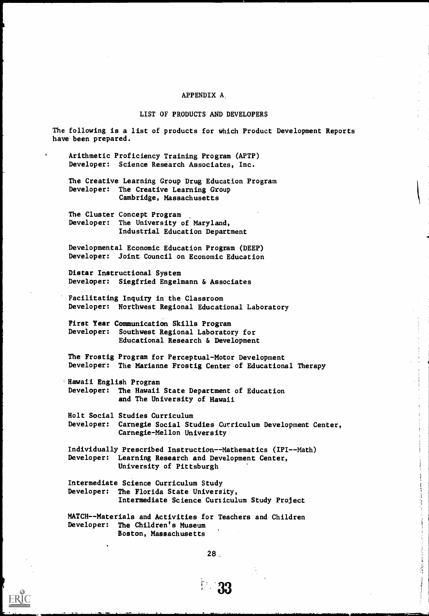#### APPENDIX A.

#### LIST OF PRODUCTS AND DEVELOPERS

The following is a list of products for which Product Development Reports have been prepared.

Arithmetic Proficiency Training Program (APTP) Developer: Science Research Associates, Inc.

The Creative Learning Group Drug Education Program Developer: The Creative Learning Group Cambridge, Massachusetts

The Cluster Concept Program Developer: The University of Maryland, Industrial Education Department

Developmental Economic Education Program (DEEP) Developer: Joint Council on Economic Education

Distar Instructional System Developer: Siegfried Engelmann & Associates

Facilitating Inquiry in the Classroom Developer: Northwest Regional Educational Laboratory

First Year Communication Skills Program Developer: Southwest Regional Laboratory for Educational Research & Development

The Frostig Program for Perceptual-Motor Development Developer: The Marianne Frostig Center of Educational Therapy

.Hawaii English Program Developer: The Hawaii State Department of Education and The University of Hawaii

Holt Social Studies Curriculum Developer: Carnegie Social Studies Curriculum Development Center, Carnegie-Mellon University

Individually Prescribed Instruction--Mathematics (IPI--Math) Developer: Learning Research and Development Center, University of Pittsburgh

Intermediate Science Curriculum Study Developer: The Florida State University, Intermediate Science Curticulum Study Project

MATCH--Materials and Activities for Teachers and Children Developer: The Children's Museum Boston, Massachusetts

28..

 $\frac{1}{2}$ 

不能发生 医身体障碍 化十六烷 计交换信号 计分布式 计分级存储 医海绵 医眼腺神经 医卵巢体上小